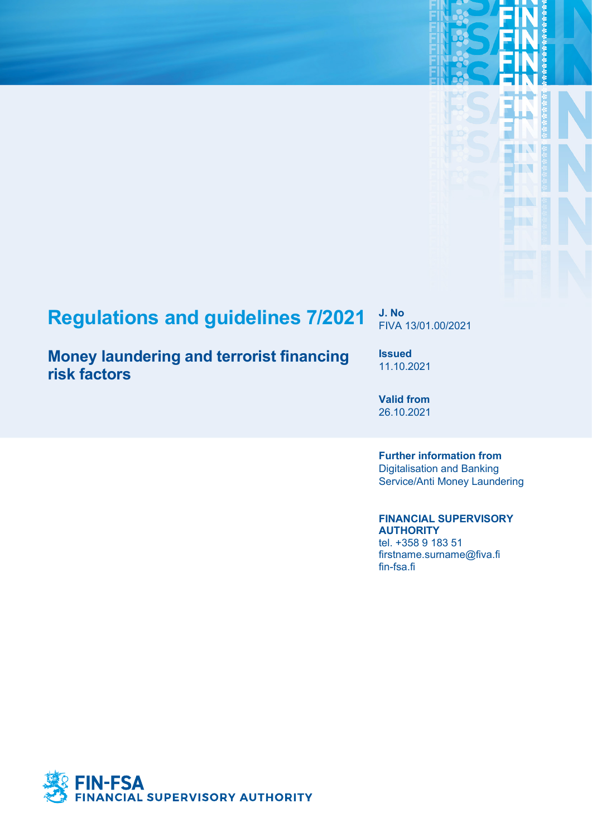# **Regulations and guidelines 7/2021 J. No**

## **Money laundering and terrorist financing risk factors**

FIVA 13/01.00/2021

П B

**Issued** 11.10.2021

**Valid from** 26.10.2021

**Further information from** Digitalisation and Banking Service/Anti Money Laundering

**FINANCIAL SUPERVISORY AUTHORITY**

tel. +358 9 183 51 firstname.surname@fiva.fi fin-fsa.fi

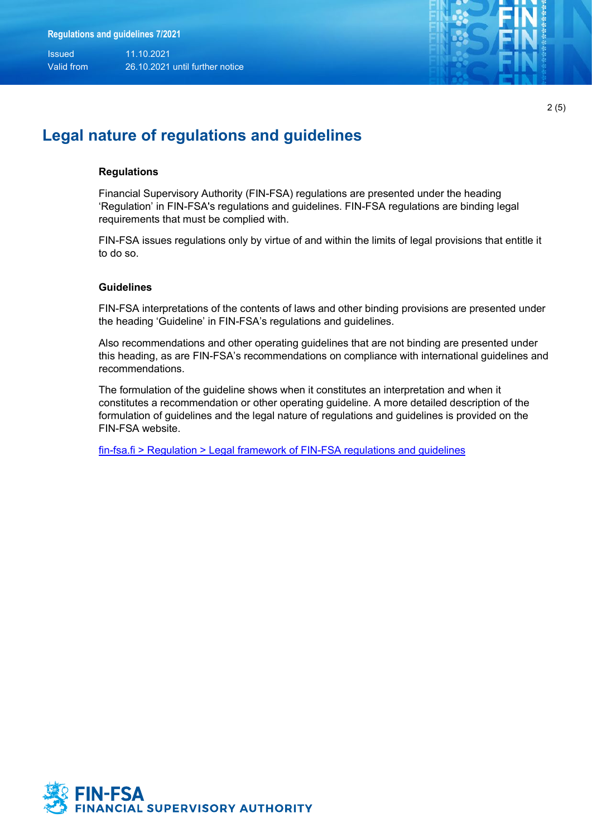Issued 11.10.2021

Valid from 26.10.2021 until further notice



2 (5)

#### **Legal nature of regulations and guidelines**

#### **Regulations**

Financial Supervisory Authority (FIN-FSA) regulations are presented under the heading 'Regulation' in FIN-FSA's regulations and guidelines. FIN-FSA regulations are binding legal requirements that must be complied with.

FIN-FSA issues regulations only by virtue of and within the limits of legal provisions that entitle it to do so.

#### **Guidelines**

FIN-FSA interpretations of the contents of laws and other binding provisions are presented under the heading 'Guideline' in FIN-FSA's regulations and guidelines.

Also recommendations and other operating guidelines that are not binding are presented under this heading, as are FIN-FSA's recommendations on compliance with international guidelines and recommendations.

The formulation of the guideline shows when it constitutes an interpretation and when it constitutes a recommendation or other operating guideline. A more detailed description of the formulation of guidelines and the legal nature of regulations and guidelines is provided on the FIN-FSA website.

[fin-fsa.fi > Regulation > Legal framework of FIN-FSA regulations and guidelines](https://www.finanssivalvonta.fi/en/regulation/legal-framework/)

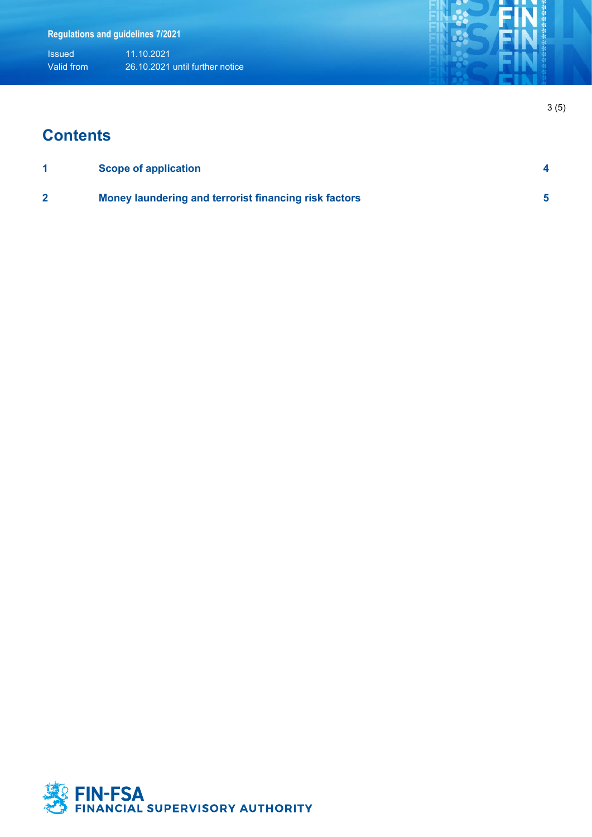Issued 11.10.2021 Valid from 26.10.2021 until further notice

## **Contents**

| <b>Scope of application</b>                           |  |
|-------------------------------------------------------|--|
| Money laundering and terrorist financing risk factors |  |

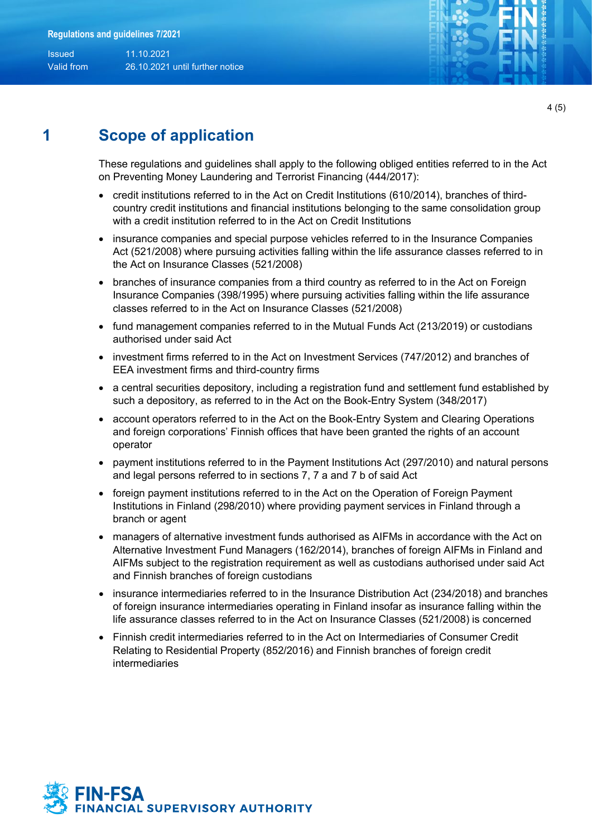Issued 11.10.2021 Valid from 26.10.2021 until further notice



4 (5)

## <span id="page-3-0"></span>**1 Scope of application**

These regulations and guidelines shall apply to the following obliged entities referred to in the Act on Preventing Money Laundering and Terrorist Financing (444/2017):

- credit institutions referred to in the Act on Credit Institutions (610/2014), branches of thirdcountry credit institutions and financial institutions belonging to the same consolidation group with a credit institution referred to in the Act on Credit Institutions
- insurance companies and special purpose vehicles referred to in the Insurance Companies Act (521/2008) where pursuing activities falling within the life assurance classes referred to in the Act on Insurance Classes (521/2008)
- branches of insurance companies from a third country as referred to in the Act on Foreign Insurance Companies (398/1995) where pursuing activities falling within the life assurance classes referred to in the Act on Insurance Classes (521/2008)
- fund management companies referred to in the Mutual Funds Act (213/2019) or custodians authorised under said Act
- investment firms referred to in the Act on Investment Services (747/2012) and branches of EEA investment firms and third-country firms
- a central securities depository, including a registration fund and settlement fund established by such a depository, as referred to in the Act on the Book-Entry System (348/2017)
- account operators referred to in the Act on the Book-Entry System and Clearing Operations and foreign corporations' Finnish offices that have been granted the rights of an account operator
- payment institutions referred to in the Payment Institutions Act (297/2010) and natural persons and legal persons referred to in sections 7, 7 a and 7 b of said Act
- foreign payment institutions referred to in the Act on the Operation of Foreign Payment Institutions in Finland (298/2010) where providing payment services in Finland through a branch or agent
- managers of alternative investment funds authorised as AIFMs in accordance with the Act on Alternative Investment Fund Managers (162/2014), branches of foreign AIFMs in Finland and AIFMs subject to the registration requirement as well as custodians authorised under said Act and Finnish branches of foreign custodians
- insurance intermediaries referred to in the Insurance Distribution Act (234/2018) and branches of foreign insurance intermediaries operating in Finland insofar as insurance falling within the life assurance classes referred to in the Act on Insurance Classes (521/2008) is concerned
- Finnish credit intermediaries referred to in the Act on Intermediaries of Consumer Credit Relating to Residential Property (852/2016) and Finnish branches of foreign credit intermediaries